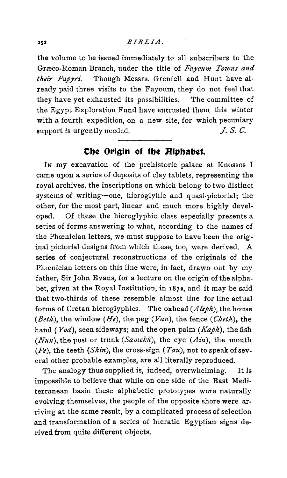the volume to be issued immediately to all subscribers to the Græco-Roman Branch, under the title of *Fayoum Towns and their Papyri.* Though Messrs. Grenfell and Hunt have already paid three visits to the Fayoum, they do not feel that they have yet exhausted its possibilities. The committee of the Egypt Exploration Fund have entrusted them this winter with a fourth expedition, on a new site, for which pecuniary support is urgently needed.  $J. S. C.$ 

## *The Origin of the Hiphabet.*

In my excavation of the prehistoric palace at Knossos I came upon a series of deposits of clay tablets, representing the royal archives, the inscriptions on which belong to two distinct systems of writing—one, hieroglyhic and quasi-pictorial; the other, for the most part, linear and much more highly developed. Of these the hieroglyphic class especially presents a series of forms answering to what, according to the names of the Phoenician letters, we must suppose to have been the original pictorial designs from which these, too, were derived. A series of conjectural reconstructions of the originals of the Phoenician letters on this line were, in fact, drawn out by my father, Sir John Evans, for a lecture on the origin of the alphabet, given at the Royal Institution, in 187a, and it may be said that two-thirds of these resemble almost line for line actual forms of Cretan hieroglyphics. The oxhead (*Aleph*), the house (*Beth*), the window (*He*), the peg ( *Van*), the fence (*Cheth*), the hand ( *Yod),* seen sideways; and the open palm (*Kaph*), the fish (*Nun*), the post or trunk (*Samekh*), the eye *{Ain),* the mouth *{Pe),* the teeth *{Shin),* the cross-sign ( *Tau*), not to speak of several other probable examples, are all literally reproduced.

The analogy thus supplied is, indeed, overwhelming. It is impossible to believe that while on one side of the East Mediterranean basin these alphabetic prototypes were naturally evolving themselves, the people of the opposite shore were arriving at the same result, by a complicated process of selection and transformation of a series of hieratic Egyptian signs derived from quite different objects.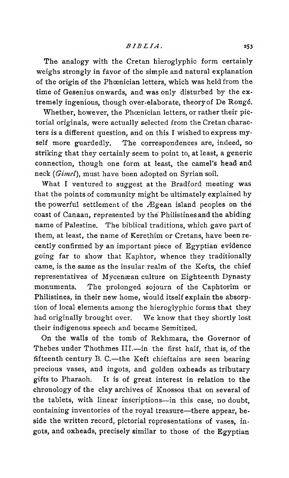The analogy with the Cretan hieroglyphic form certainly weighs strongly in favor of the simple and natural explanation of the origin of the Phoenician letters, which was held from the time of Gesenius onwards, and was only disturbed by the extremely ingenious, though over-elaborate, theory of De Rougé.

Whether, however, the Phoenician letters, or rather their pictorial originals, were actually selected from the Cretan characters is a different question, and on this I wished to express myself more guardedly. The correspondences are, indeed, so striking that they certainly seem to point to, at least, a generic connection, though one form at least, the camel's head and neck (*Gimel*), must have been adopted on Syrian soil.

What I ventured to suggest at the Bradford meeting was that the points of community might be ultimately explained by the powerful settlement of the Ægean island peoples on the coast of Canaan, represented by the Philistines and the abiding name of Palestine. The biblical traditions, which gave part of them, at least, the name of Kerethim or Cretans, have been recently confirmed by an important piece of Egyptian evidence going far to show that Kaphtor, whence they traditionally came, is the same as the insular realm of the Kefts, the chief representatives of Mycenæan culture on Eighteenth Dynasty monuments. The prolonged sojourn of the Caphtorim or Philistines, in their new home, would itself explain the absorption of local elements among the hieroglyphic forms that they had originally brought over. We know that they shortly lost their indigenous speech and became Semitized.

On the walls of the tomb of Rekhmara, the Governor of Thebes under Thothmes III.— in the first half, that is, of the fifteenth century B. C.— the Keft chieftains are seen bearing precious vases, and ingots, and golden oxheads as tributary gifts to Pharaoh. It is of great interest in relation to the chronology of the clay archives of Knossos that on several of the tablets, with linear inscriptions— in this case, no doubt, containing inventories of the royal treasure— there appear, beside the written record, pictorial representations of vases, ingots, and oxheads, precisely similar to those of the Egyptian